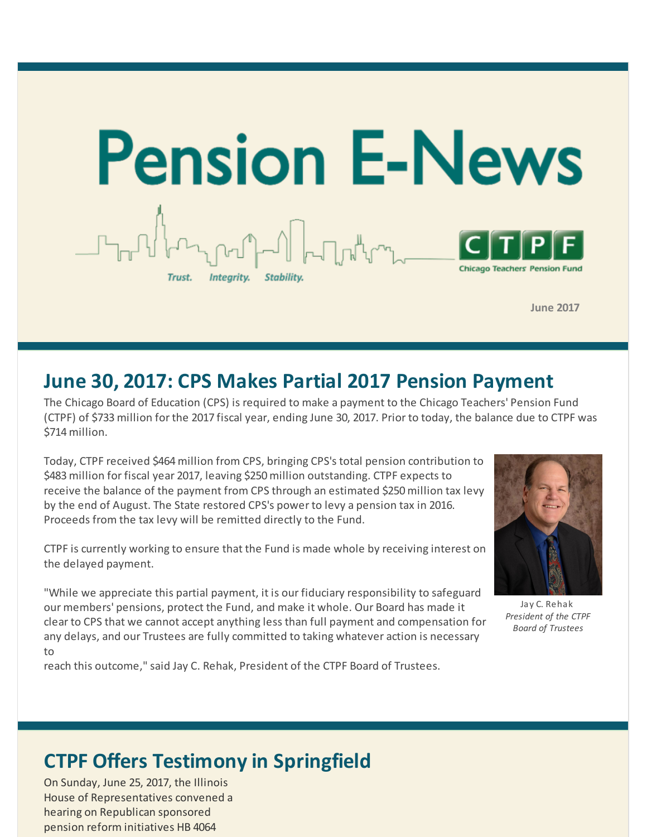

**June 2017**

### **June 30, 2017: CPS Makes Partial 2017 Pension Payment**

The Chicago Board of Education (CPS) is required to make a payment to the Chicago Teachers' Pension Fund (CTPF) of \$733 million for the 2017 fiscal year, ending June 30, 2017. Prior to today, the balance due to CTPF was \$714 million.

Today, CTPF received \$464 million from CPS, bringing CPS's total pension contribution to \$483 million for fiscal year 2017, leaving \$250 million outstanding. CTPF expects to receive the balance of the payment from CPS through an estimated \$250 million tax levy by the end of August. The State restored CPS's power to levy a pension tax in 2016. Proceeds from the tax levy will be remitted directly to the Fund.

CTPF is currently working to ensure that the Fund is made whole by receiving interest on the delayed payment.

"While we appreciate this partial payment, it is our fiduciary responsibility to safeguard our members' pensions, protect the Fund, and make it whole. Our Board has made it clear to CPS that we cannot accept anything less than full payment and compensation for any delays, and our Trustees are fully committed to taking whatever action is necessary to

reach this outcome," said Jay C. Rehak, President of the CTPF Board of Trustees.



Jay C. Rehak *President of the CTPF Board of Trustees*

# **CTPF Offers Testimony in Springfield**

On Sunday, June 25, 2017, the Illinois House of Representatives convened a hearing on Republican sponsored pension reform initiatives HB 4064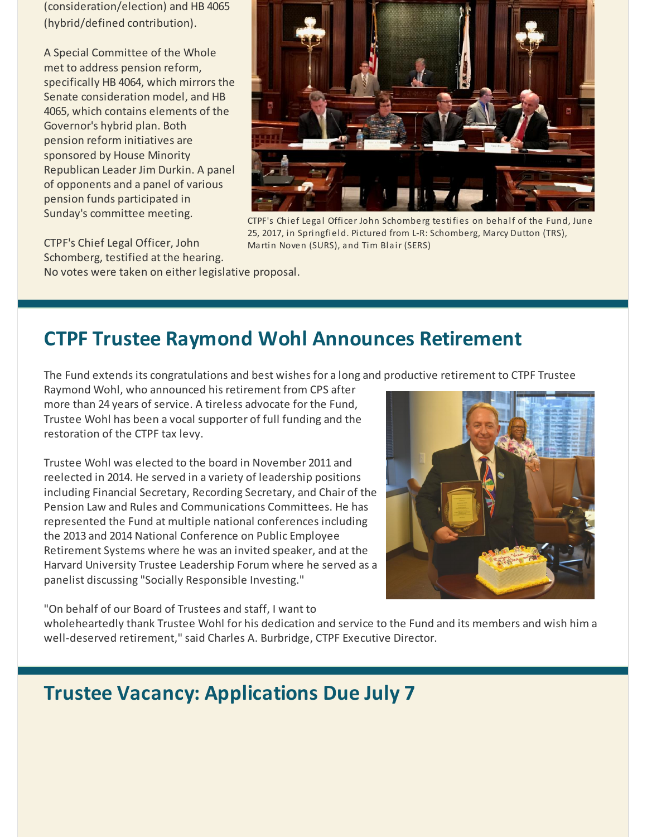(consideration/election) and HB 4065 (hybrid/defined contribution).

A Special Committee of the Whole met to address pension reform, specifically HB 4064, which mirrors the Senate consideration model, and HB 4065, which contains elements of the Governor's hybrid plan. Both pension reform initiatives are sponsored by House Minority Republican Leader Jim Durkin. A panel of opponents and a panel of various pension funds participated in Sunday's committee meeting.



CTPF's Chief Legal Officer John Schomberg testifies on behalf of the Fund, June 25, 2017, in Springfield. Pictured from L-R: Schomberg, Marcy Dutton (TRS), Martin Noven (SURS), and Tim Blair (SERS)

CTPF's Chief Legal Officer, John

Schomberg, testified at the hearing. No votes were taken on either legislative proposal.

### **CTPF Trustee Raymond Wohl Announces Retirement**

The Fund extends its congratulations and best wishes for a long and productive retirement to CTPF Trustee

Raymond Wohl, who announced his retirement from CPS after more than 24 years of service. A tireless advocate for the Fund, Trustee Wohl has been a vocal supporter of full funding and the restoration of the CTPF tax levy.

Trustee Wohl was elected to the board in November 2011 and reelected in 2014. He served in a variety of leadership positions including Financial Secretary, Recording Secretary, and Chair of the Pension Law and Rules and Communications Committees. He has represented the Fund at multiple national conferences including the 2013 and 2014 National Conference on Public Employee Retirement Systems where he was an invited speaker, and at the Harvard University Trustee Leadership Forum where he served as a panelist discussing "Socially Responsible Investing."

"On behalf of our Board of Trustees and staff, I want to

wholeheartedly thank Trustee Wohl for his dedication and service to the Fund and its members and wish him a well-deserved retirement," said Charles A. Burbridge, CTPF Executive Director.

### **Trustee Vacancy: Applications Due July 7**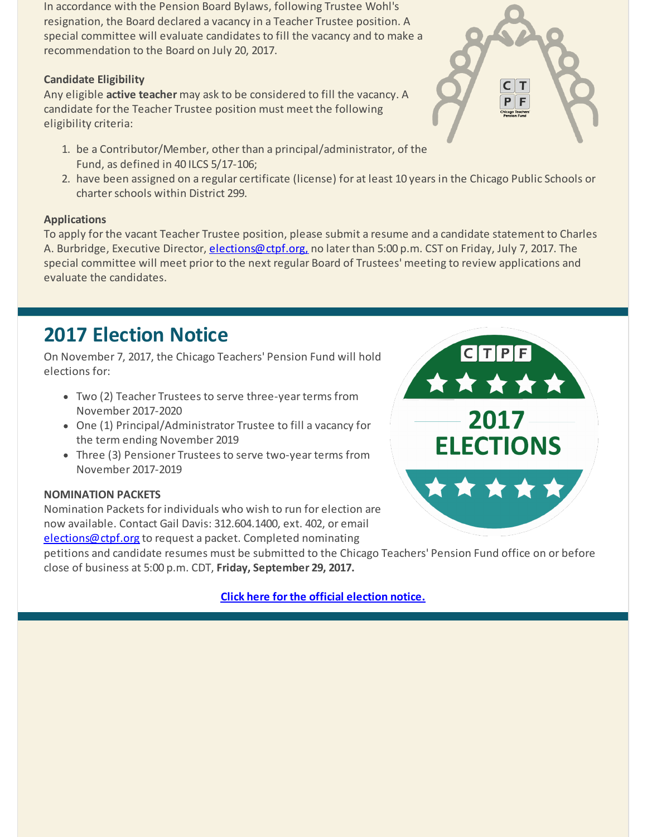In accordance with the Pension Board Bylaws, following Trustee Wohl's resignation, the Board declared a vacancy in a Teacher Trustee position. A special committee will evaluate candidates to fill the vacancy and to make a recommendation to the Board on July 20, 2017.

#### **Candidate Eligibility**

Any eligible **active teacher** may ask to be considered to fill the vacancy. A candidate for the Teacher Trustee position must meet the following eligibility criteria:

- 1. be a Contributor/Member, other than a principal/administrator, of the Fund, as defined in 40 ILCS 5/17-106;
- 2. have been assigned on a regular certificate (license) for at least 10 years in the Chicago Public Schools or charter schools within District 299.

#### **Applications**

To apply for the vacant Teacher Trustee position, please submit a resume and a candidate statement to Charles A. Burbridge, Executive Director, *elections@ctpf.org*, no later than 5:00 p.m. CST on Friday, July 7, 2017. The special committee will meet prior to the next regular Board of Trustees' meeting to review applications and evaluate the candidates.

### **2017 Election Notice**

On November 7, 2017, the Chicago Teachers' Pension Fund will hold elections for:

- Two (2) Teacher Trustees to serve three-year terms from November 2017-2020
- One (1) Principal/Administrator Trustee to fill a vacancy for the term ending November 2019
- Three (3) Pensioner Trustees to serve two-year terms from November 2017-2019

#### **NOMINATION PACKETS**

Nomination Packets for individuals who wish to run for election are now available. Contact Gail Davis: 312.604.1400, ext. 402, or email [elections@ctpf.org](mailto:elections@ctpf.org) to request a packet. Completed nominating

petitions and candidate resumes must be submitted to the Chicago Teachers' Pension Fund office on or before close of business at 5:00 p.m. CDT, **Friday, September 29, 2017.**

**Click here for the official [election](http://r20.rs6.net/tn.jsp?f=001sl55Lz7L9hXTuYSadN2-xbkQiB376nkl6rf9Ov7f9Lua82d4Bl0fIUTyaCAQv-fWt2SucWfheSsDXiaUfR15XLrLFkw_dUOeA7grH3CmiQXdcvYGOQe6IClMHJYY2UwCZ6lsSUqHBY8jWEYdgycCWvdhIkvhF_BbA1WhELw3m68HyVLHgETFCC-nFN_GJlUgibcFdjAf-gvanaVY6axrkq4K_Z_avxugHWQes-N59-Kz6BQxRrHutcWeXRVSsYlg&c=&ch=) notice.**



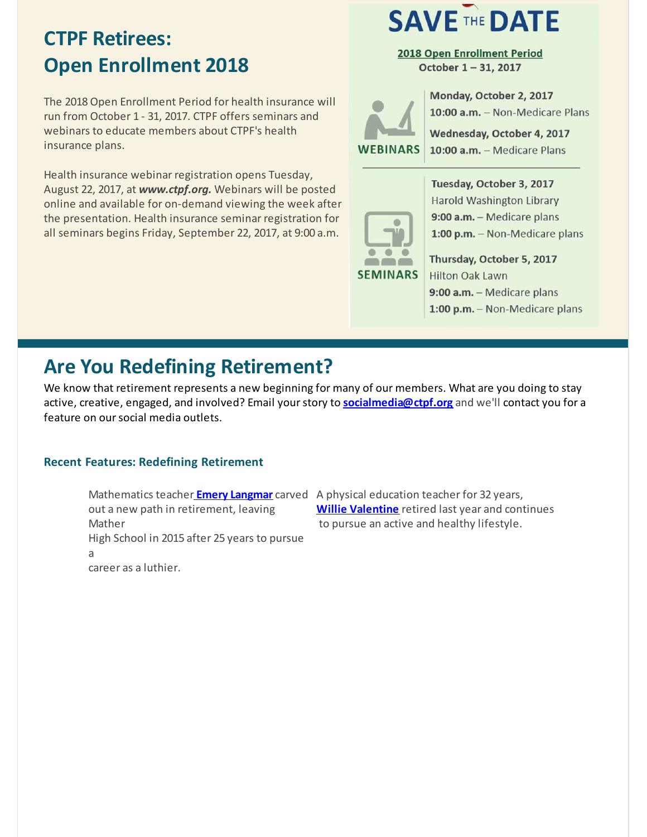## **CTPF Retirees: Open Enrollment 2018**

The 2018Open Enrollment Period for health insurance will run from October 1 - 31, 2017. CTPF offers seminars and webinars to educate members about CTPF's health insurance plans.

Health insurance webinar registration opens Tuesday, August 22, 2017, at *www.ctpf.org.* Webinars will be posted online and available for on-demand viewing the week after the presentation. Health insurance seminar registration for all seminars begins Friday, September 22, 2017, at 9:00 a.m.

# **SAVE THE DATE**

2018 Open Enrollment Period October 1-31, 2017

**WEBINARS** 

Monday, October 2, 2017 10:00 a.m. - Non-Medicare Plans

Wednesday, October 4, 2017 10:00 a.m. - Medicare Plans

Tuesday, October 3, 2017 **Harold Washington Library** 



9:00 a.m. - Medicare plans 1:00 p.m. - Non-Medicare plans Thursday, October 5, 2017

**Hilton Oak Lawn** 9:00 a.m. - Medicare plans 1:00 p.m. - Non-Medicare plans

## **Are You Redefining Retirement?**

We know that retirement represents a new beginning for many of our members. What are you doing to stay active, creative, engaged, and involved? Email yourstory to **[socialmedia@ctpf.org](mailto:socialmedia@ctpf.org)** and we'll contact you for a feature on our social media outlets.

#### **Recent Features: Redefining Retirement**

Mathematics teacher **Emery [Langmar](http://r20.rs6.net/tn.jsp?f=001sl55Lz7L9hXTuYSadN2-xbkQiB376nkl6rf9Ov7f9Lua82d4Bl0fIUTyaCAQv-fWgt4kjwC6TN0neQAH1PwG5nDH7EUk7MIjiXs0x-ArJrHVx7tNBSp09OKRt-9F9XTUae1F3Fj-7EtFPtI4kYPeb7I8kyQkF7_SxcePcLUKA_-gnwBG-KJVLoLKtu-Nfi9YwlJfjLoIehru8fMjX_s7br744x3muSKetpshvwGhmp9PF81K_P-N1dZp9RcTCzBwPVwhQXED61X3ge3b3f6me-BJLxo13O_BZW3FI6edmwM=&c=&ch=)** carved A physical education teacher for 32 years, out a new path in retirement, leaving Mather High School in 2015 after 25 years to pursue a career as a luthier.

**Willie [Valentine](http://r20.rs6.net/tn.jsp?f=001sl55Lz7L9hXTuYSadN2-xbkQiB376nkl6rf9Ov7f9Lua82d4Bl0fIUTyaCAQv-fWiu-mU0VmMMgBjR6tghSIMX4_1p_GSDpQ4v1e9BUG5kYkPX8tSSYVXpRdVfnMIrdWVM1hr7d1WAz_b3qan4xbqE1kckfZSH8vRMvIO2G1McaepE_bhtzJ_SkvNiKr3dPbU78tbutudVun5O-1BnMrXLMfLgKVyyBFwfmG0WuNqy0cuLGyH4Lk6hxI-CC8unlPwoKGloiPEdXN9WN_uD1XwtMMTvUNp-f1oeWd1GKPp2m_AHs6QjnfWV4iiJnSViT7&c=&ch=)** retired last year and continues to pursue an active and healthy lifestyle.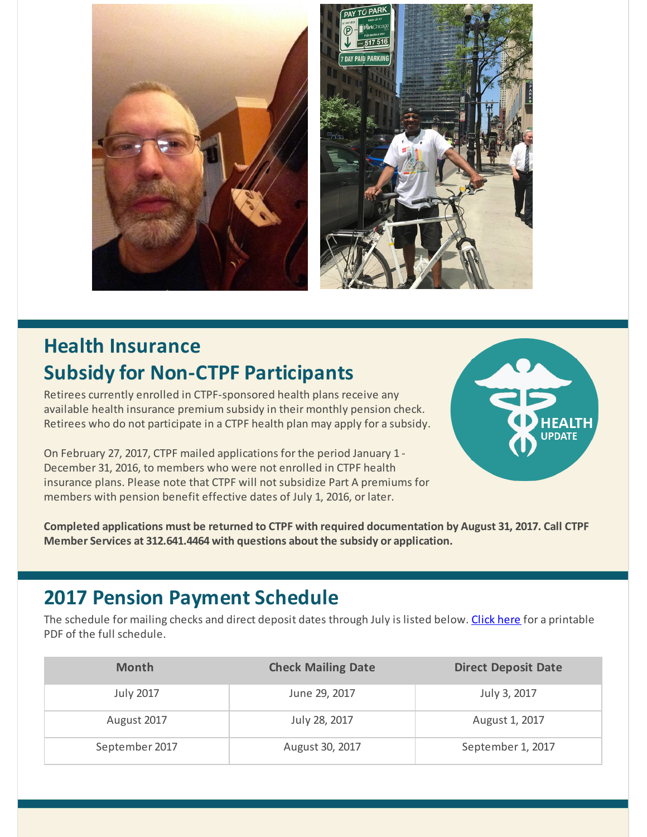

# **Health Insurance Subsidy for Non-CTPF Participants**

Retirees currently enrolled in CTPF-sponsored health plans receive any available health insurance premium subsidy in their monthly pension check. Retirees who do not participate in a CTPF health plan may apply for a subsidy.

On February 27, 2017, CTPF mailed applications for the period January 1 - December 31, 2016, to members who were not enrolled in CTPF health insurance plans. Please note that CTPF will not subsidize Part A premiums for members with pension benefit effective dates of July 1, 2016, or later.



**Completed applications must be returned to CTPF with required documentation by August 31, 2017. Call CTPF Member Services at 312.641.4464 with questions about the subsidy or application.**

### **2017 Pension Payment Schedule**

The schedule for mailing checks and direct deposit dates through July is listed below. [Click](http://r20.rs6.net/tn.jsp?f=001sl55Lz7L9hXTuYSadN2-xbkQiB376nkl6rf9Ov7f9Lua82d4Bl0fIbKw_5LxxfIUVR8F2mUcagLFg88wd7rHUcgwV6eFvN5bWWfNKXWd0hURoT6OUTe_Ygk6ZV3TJ6Xc6dheLmVHKQRkpyQQvWpyO2uuc6mCw5KtMmcGkSBtUmzVPifBqCsA678ZTTlU8WHqGWIZu3FyTU36PsORgPbx1w==&c=&ch=) here for a printable PDF of the full schedule.

| <b>Month</b>     | <b>Check Mailing Date</b> | <b>Direct Deposit Date</b> |
|------------------|---------------------------|----------------------------|
| <b>July 2017</b> | June 29, 2017             | July 3, 2017               |
| August 2017      | July 28, 2017             | August 1, 2017             |
| September 2017   | August 30, 2017           | September 1, 2017          |